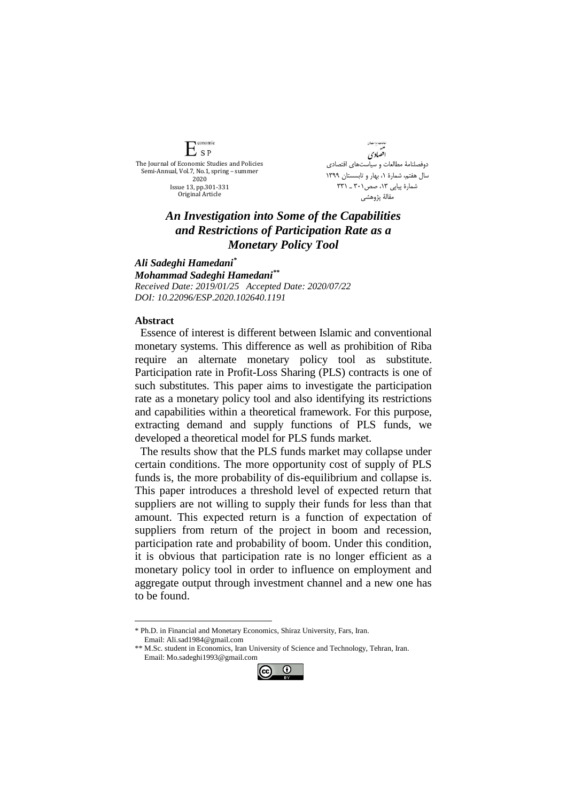

.<br>هامات و باست!ی اقضادي دوفصلنامۀ مطالعات و سیاستهای اقتصادی سال هفتم، شمارة ،1 بهار و تابسستان 1399 شمارة پياپي ١٣، صص١٠١ ـ ٣٣١ مقالۀ پژوهشي

## *An Investigation into Some of the Capabilities and Restrictions of Participation Rate as a Monetary Policy Tool*

*Ali Sadeghi Hamedani\* Mohammad Sadeghi Hamedani\*\* Received Date: 2019/01/25 Accepted Date: 2020/07/22 DOI: 10.22096/ESP.2020.102640.1191*

## **Abstract**

<u>.</u>

Essence of interest is different between Islamic and conventional monetary systems. This difference as well as prohibition of Riba require an alternate monetary policy tool as substitute. Participation rate in Profit-Loss Sharing (PLS) contracts is one of such substitutes. This paper aims to investigate the participation rate as a monetary policy tool and also identifying its restrictions and capabilities within a theoretical framework. For this purpose, extracting demand and supply functions of PLS funds, we developed a theoretical model for PLS funds market.

The results show that the PLS funds market may collapse under certain conditions. The more opportunity cost of supply of PLS funds is, the more probability of dis-equilibrium and collapse is. This paper introduces a threshold level of expected return that suppliers are not willing to supply their funds for less than that amount. This expected return is a function of expectation of suppliers from return of the project in boom and recession, participation rate and probability of boom. Under this condition, it is obvious that participation rate is no longer efficient as a monetary policy tool in order to influence on employment and aggregate output through investment channel and a new one has to be found.

<sup>\*\*</sup> M.Sc. student in Economics, Iran University of Science and Technology, Tehran, Iran. Email: Mo.sadeghi1993@gmail.com



<sup>\*</sup> Ph.D. in Financial and Monetary Economics, Shiraz University, Fars, Iran. Email: Ali.sad1984@gmail.com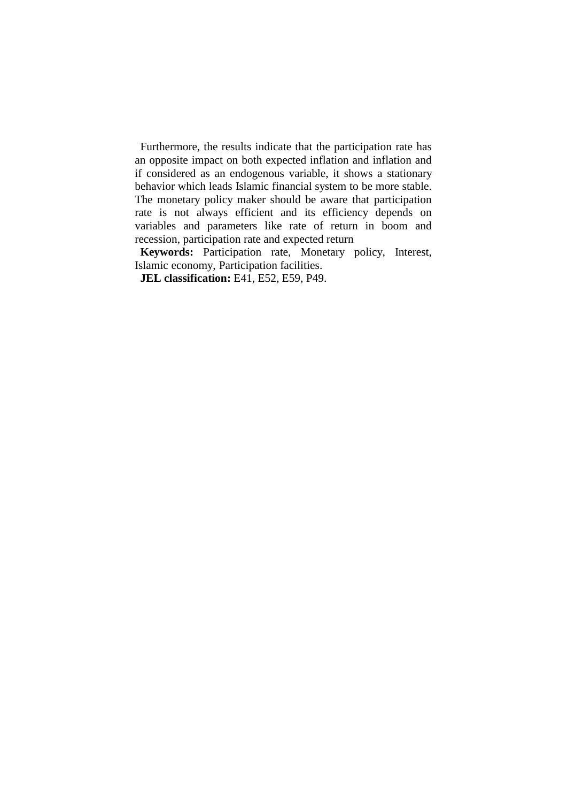Furthermore, the results indicate that the participation rate has an opposite impact on both expected inflation and inflation and if considered as an endogenous variable, it shows a stationary behavior which leads Islamic financial system to be more stable. The monetary policy maker should be aware that participation rate is not always efficient and its efficiency depends on variables and parameters like rate of return in boom and recession, participation rate and expected return

**Keywords:** Participation rate, Monetary policy, Interest, Islamic economy, Participation facilities.

**JEL classification:** E41, E52, E59, P49.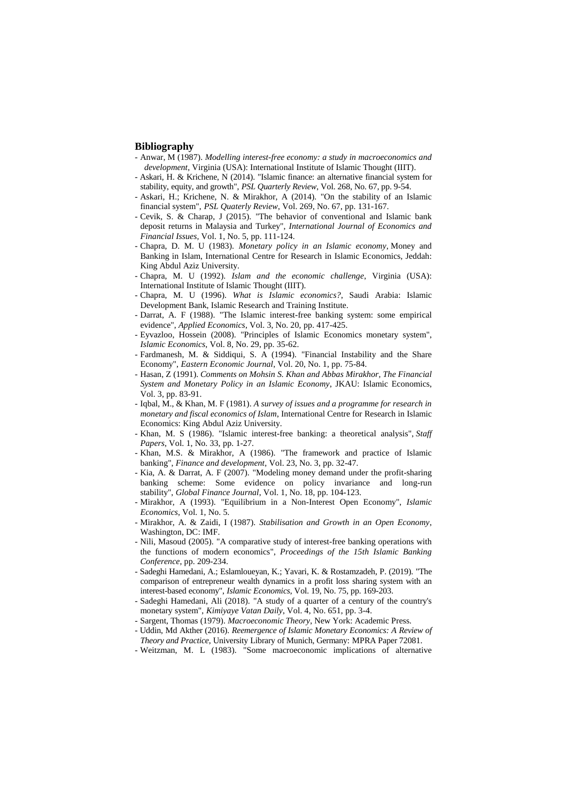## **Bibliography**

- Anwar, M (1987). *Modelling interest-free economy: a study in macroeconomics and development*, Virginia (USA): International Institute of Islamic Thought (IIIT).
- Askari, H. & Krichene, N (2014). "Islamic finance: an alternative financial system for stability, equity, and growth", *PSL Quarterly Review*, Vol. 268, No. 67, pp. 9-54.
- Askari, H.; Krichene, N. & Mirakhor, A (2014). "On the stability of an Islamic financial system", *PSL Quaterly Review*, Vol. 269, No. 67, pp. 131-167.
- Cevik, S. & Charap, J (2015). "The behavior of conventional and Islamic bank deposit returns in Malaysia and Turkey", *International Journal of Economics and Financial Issues,* Vol. 1, No. 5, pp. 111-124.
- Chapra, D. M. U (1983). *Monetary policy in an Islamic economy*, Money and Banking in Islam, International Centre for Research in Islamic Economics, Jeddah: King Abdul Aziz University.
- Chapra, M. U (1992). *Islam and the economic challenge*, Virginia (USA): International Institute of Islamic Thought (IIIT).
- Chapra, M. U (1996). *What is Islamic economics?*, Saudi Arabia: Islamic Development Bank, Islamic Research and Training Institute.
- Darrat, A. F (1988). "The Islamic interest-free banking system: some empirical evidence", *Applied Economics*, Vol. 3, No. 20, pp. 417-425.
- Eyvazloo, Hossein (2008). "Principles of Islamic Economics monetary system", *Islamic Economics*, Vol. 8, No. 29, pp. 35-62.
- Fardmanesh, M. & Siddiqui, S. A (1994). "Financial Instability and the Share Economy", *Eastern Economic Journal*, Vol. 20, No. 1, pp. 75-84.
- Hasan, Z (1991). *Comments on Mohsin S. Khan and Abbas Mirakhor, The Financial System and Monetary Policy in an Islamic Economy*, JKAU: Islamic Economics, Vol. 3, pp. 83-91.
- Iqbal, M., & Khan, M. F (1981). *A survey of issues and a programme for research in monetary and fiscal economics of Islam*, International Centre for Research in Islamic Economics: King Abdul Aziz University.
- Khan, M. S (1986). "Islamic interest-free banking: a theoretical analysis", *Staff Papers*, Vol. 1, No. 33, pp. 1-27.
- Khan, M.S. & Mirakhor, A (1986). "The framework and practice of Islamic banking", *Finance and development*, Vol. 23, No. 3, pp. 32-47.
- Kia, A. & Darrat, A. F (2007). "Modeling money demand under the profit-sharing banking scheme: Some evidence on policy invariance and long-run stability", *Global Finance Journal*, Vol. 1, No. 18, pp. 104-123.
- Mirakhor, A (1993). "Equilibrium in a Non-Interest Open Economy", *Islamic Economics*, Vol. 1, No. 5*.*
- Mirakhor, A. & Zaidi, I (1987). *Stabilisation and Growth in an Open Economy*, Washington, DC: IMF.
- Nili, Masoud (2005). "A comparative study of interest-free banking operations with the functions of modern economics", *Proceedings of the 15th Islamic Banking Conference*, pp. 209-234.
- Sadeghi Hamedani, A.; Eslamloueyan, K.; Yavari, K. & Rostamzadeh, P. (2019). "The comparison of entrepreneur wealth dynamics in a profit loss sharing system with an interest-based economy", *Islamic Economics*, Vol. 19, No. 75, pp. 169-203.
- Sadeghi Hamedani, Ali (2018). "A study of a quarter of a century of the country's monetary system", *Kimiyaye Vatan Daily*, Vol. 4, No. 651, pp. 3-4.
- Sargent, Thomas (1979). *Macroeconomic Theory*, New York: Academic Press.
- Uddin, Md Akther (2016). *Reemergence of Islamic Monetary Economics: A Review of Theory and Practice*, University Library of Munich, Germany: MPRA Paper 72081.
- Weitzman, M. L (1983). "Some macroeconomic implications of alternative